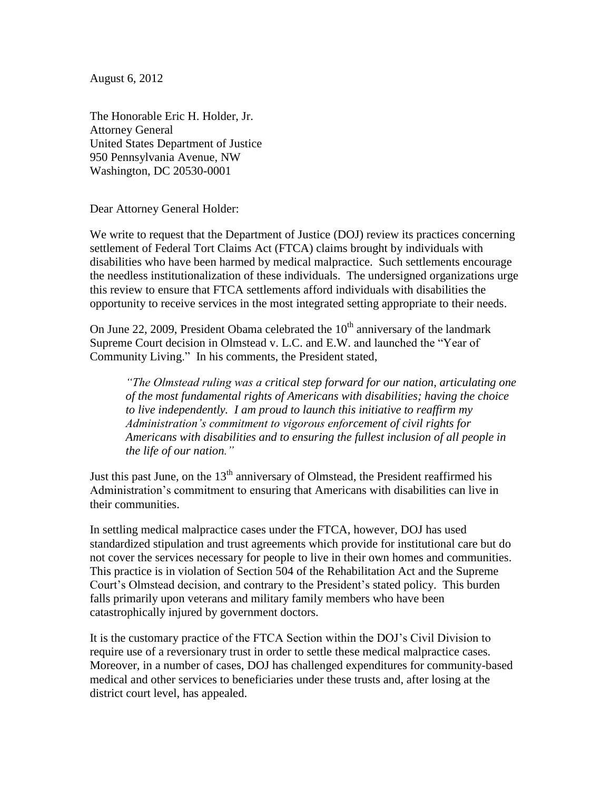August 6, 2012

The Honorable Eric H. Holder, Jr. Attorney General United States Department of Justice 950 Pennsylvania Avenue, NW Washington, DC 20530-0001

Dear Attorney General Holder:

We write to request that the Department of Justice (DOJ) review its practices concerning settlement of Federal Tort Claims Act (FTCA) claims brought by individuals with disabilities who have been harmed by medical malpractice. Such settlements encourage the needless institutionalization of these individuals. The undersigned organizations urge this review to ensure that FTCA settlements afford individuals with disabilities the opportunity to receive services in the most integrated setting appropriate to their needs.

On June 22, 2009, President Obama celebrated the  $10<sup>th</sup>$  anniversary of the landmark Supreme Court decision in Olmstead v. L.C. and E.W. and launched the "Year of Community Living." In his comments, the President stated,

*"The Olmstead ruling was a critical step forward for our nation, articulating one of the most fundamental rights of Americans with disabilities; having the choice to live independently. I am proud to launch this initiative to reaffirm my Administration's commitment to vigorous enforcement of civil rights for Americans with disabilities and to ensuring the fullest inclusion of all people in the life of our nation."*

Just this past June, on the  $13<sup>th</sup>$  anniversary of Olmstead, the President reaffirmed his Administration's commitment to ensuring that Americans with disabilities can live in their communities.

In settling medical malpractice cases under the FTCA, however, DOJ has used standardized stipulation and trust agreements which provide for institutional care but do not cover the services necessary for people to live in their own homes and communities. This practice is in violation of Section 504 of the Rehabilitation Act and the Supreme Court's Olmstead decision, and contrary to the President's stated policy. This burden falls primarily upon veterans and military family members who have been catastrophically injured by government doctors.

It is the customary practice of the FTCA Section within the DOJ's Civil Division to require use of a reversionary trust in order to settle these medical malpractice cases. Moreover, in a number of cases, DOJ has challenged expenditures for community-based medical and other services to beneficiaries under these trusts and, after losing at the district court level, has appealed.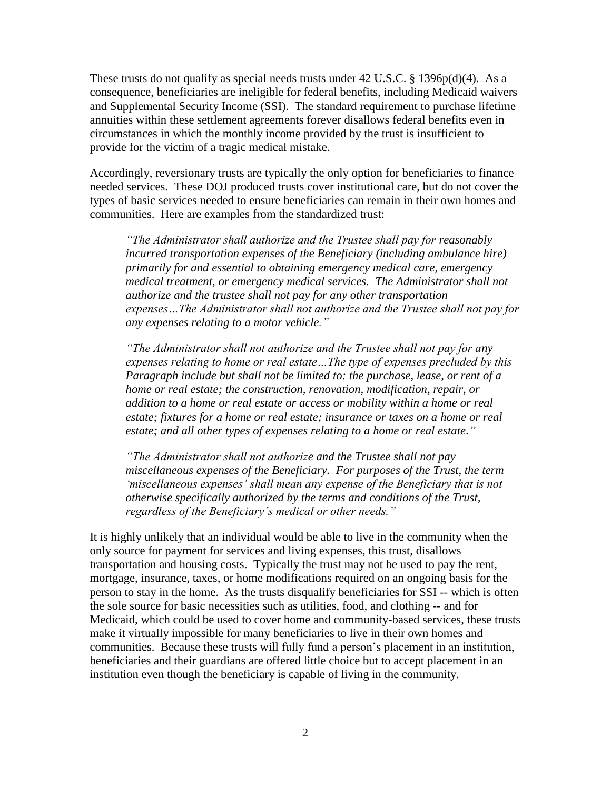These trusts do not qualify as special needs trusts under  $42 \text{ U.S.C. }$  § 1396p(d)(4). As a consequence, beneficiaries are ineligible for federal benefits, including Medicaid waivers and Supplemental Security Income (SSI). The standard requirement to purchase lifetime annuities within these settlement agreements forever disallows federal benefits even in circumstances in which the monthly income provided by the trust is insufficient to provide for the victim of a tragic medical mistake.

Accordingly, reversionary trusts are typically the only option for beneficiaries to finance needed services. These DOJ produced trusts cover institutional care, but do not cover the types of basic services needed to ensure beneficiaries can remain in their own homes and communities. Here are examples from the standardized trust:

*"The Administrator shall authorize and the Trustee shall pay for reasonably incurred transportation expenses of the Beneficiary (including ambulance hire) primarily for and essential to obtaining emergency medical care, emergency medical treatment, or emergency medical services. The Administrator shall not authorize and the trustee shall not pay for any other transportation expenses…The Administrator shall not authorize and the Trustee shall not pay for any expenses relating to a motor vehicle."*

*"The Administrator shall not authorize and the Trustee shall not pay for any expenses relating to home or real estate…The type of expenses precluded by this Paragraph include but shall not be limited to: the purchase, lease, or rent of a home or real estate; the construction, renovation, modification, repair, or addition to a home or real estate or access or mobility within a home or real estate; fixtures for a home or real estate; insurance or taxes on a home or real estate; and all other types of expenses relating to a home or real estate."*

*"The Administrator shall not authorize and the Trustee shall not pay miscellaneous expenses of the Beneficiary. For purposes of the Trust, the term 'miscellaneous expenses' shall mean any expense of the Beneficiary that is not otherwise specifically authorized by the terms and conditions of the Trust, regardless of the Beneficiary's medical or other needs."*

It is highly unlikely that an individual would be able to live in the community when the only source for payment for services and living expenses, this trust, disallows transportation and housing costs. Typically the trust may not be used to pay the rent, mortgage, insurance, taxes, or home modifications required on an ongoing basis for the person to stay in the home. As the trusts disqualify beneficiaries for SSI -- which is often the sole source for basic necessities such as utilities, food, and clothing -- and for Medicaid, which could be used to cover home and community-based services, these trusts make it virtually impossible for many beneficiaries to live in their own homes and communities. Because these trusts will fully fund a person's placement in an institution, beneficiaries and their guardians are offered little choice but to accept placement in an institution even though the beneficiary is capable of living in the community.